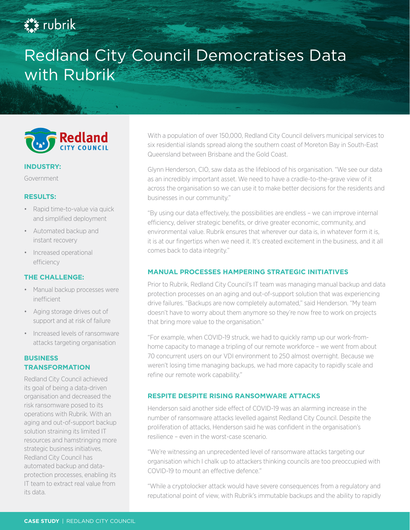## **Ext** rubrik

# Redland City Council Democratises Data with Rubrik



#### **INDUSTRY:**

Government

#### **RESULTS:**

- Rapid time-to-value via quick and simplified deployment
- Automated backup and instant recovery
- Increased operational efficiency

#### **THE CHALLENGE:**

- Manual backup processes were inefficient
- Aging storage drives out of support and at risk of failure
- Increased levels of ransomware attacks targeting organisation

### **BUSINESS TRANSFORMATION**

Redland City Council achieved its goal of being a data-driven organisation and decreased the risk ransomware posed to its operations with Rubrik. With an aging and out-of-support backup solution straining its limited IT resources and hamstringing more strategic business initiatives, Redland City Council has automated backup and dataprotection processes, enabling its IT team to extract real value from its data.

With a population of over 150,000, Redland City Council delivers municipal services to six residential islands spread along the southern coast of Moreton Bay in South-East Queensland between Brisbane and the Gold Coast.

Glynn Henderson, CIO, saw data as the lifeblood of his organisation. "We see our data as an incredibly important asset. We need to have a cradle-to-the-grave view of it across the organisation so we can use it to make better decisions for the residents and businesses in our community."

"By using our data effectively, the possibilities are endless – we can improve internal efficiency, deliver strategic benefits, or drive greater economic, community, and environmental value. Rubrik ensures that wherever our data is, in whatever form it is, it is at our fingertips when we need it. It's created excitement in the business, and it all comes back to data integrity."

#### **MANUAL PROCESSES HAMPERING STRATEGIC INITIATIVES**

Prior to Rubrik, Redland City Council's IT team was managing manual backup and data protection processes on an aging and out-of-support solution that was experiencing drive failures. "Backups are now completely automated," said Henderson. "My team doesn't have to worry about them anymore so they're now free to work on projects that bring more value to the organisation."

"For example, when COVID-19 struck, we had to quickly ramp up our work-fromhome capacity to manage a tripling of our remote workforce – we went from about 70 concurrent users on our VDI environment to 250 almost overnight. Because we weren't losing time managing backups, we had more capacity to rapidly scale and refine our remote work capability."

#### **RESPITE DESPITE RISING RANSOMWARE ATTACKS**

Henderson said another side effect of COVID-19 was an alarming increase in the number of ransomware attacks levelled against Redland City Council. Despite the proliferation of attacks, Henderson said he was confident in the organisation's resilience – even in the worst-case scenario.

"We're witnessing an unprecedented level of ransomware attacks targeting our organisation which I chalk up to attackers thinking councils are too preoccupied with COVID-19 to mount an effective defence."

"While a cryptolocker attack would have severe consequences from a regulatory and reputational point of view, with Rubrik's immutable backups and the ability to rapidly